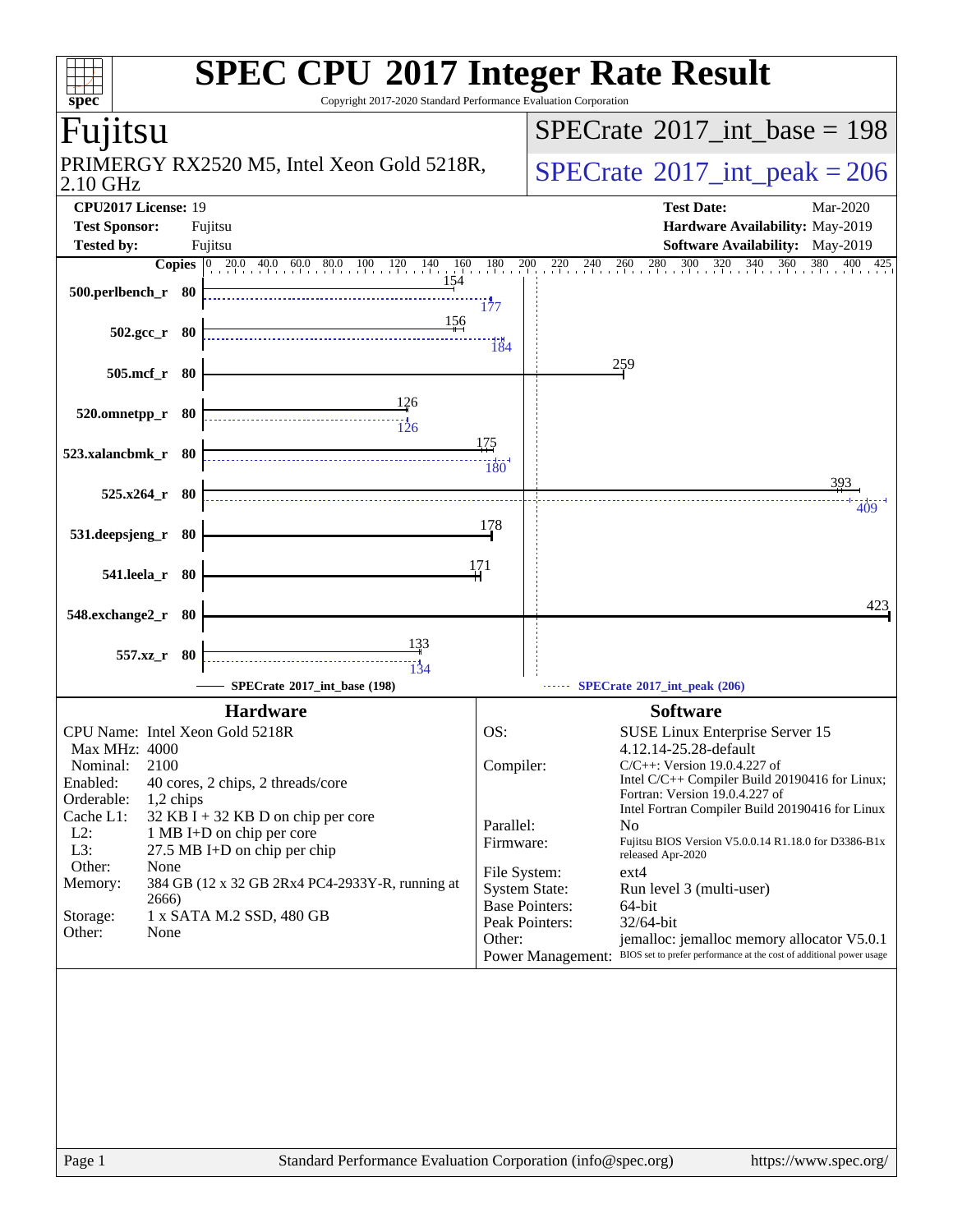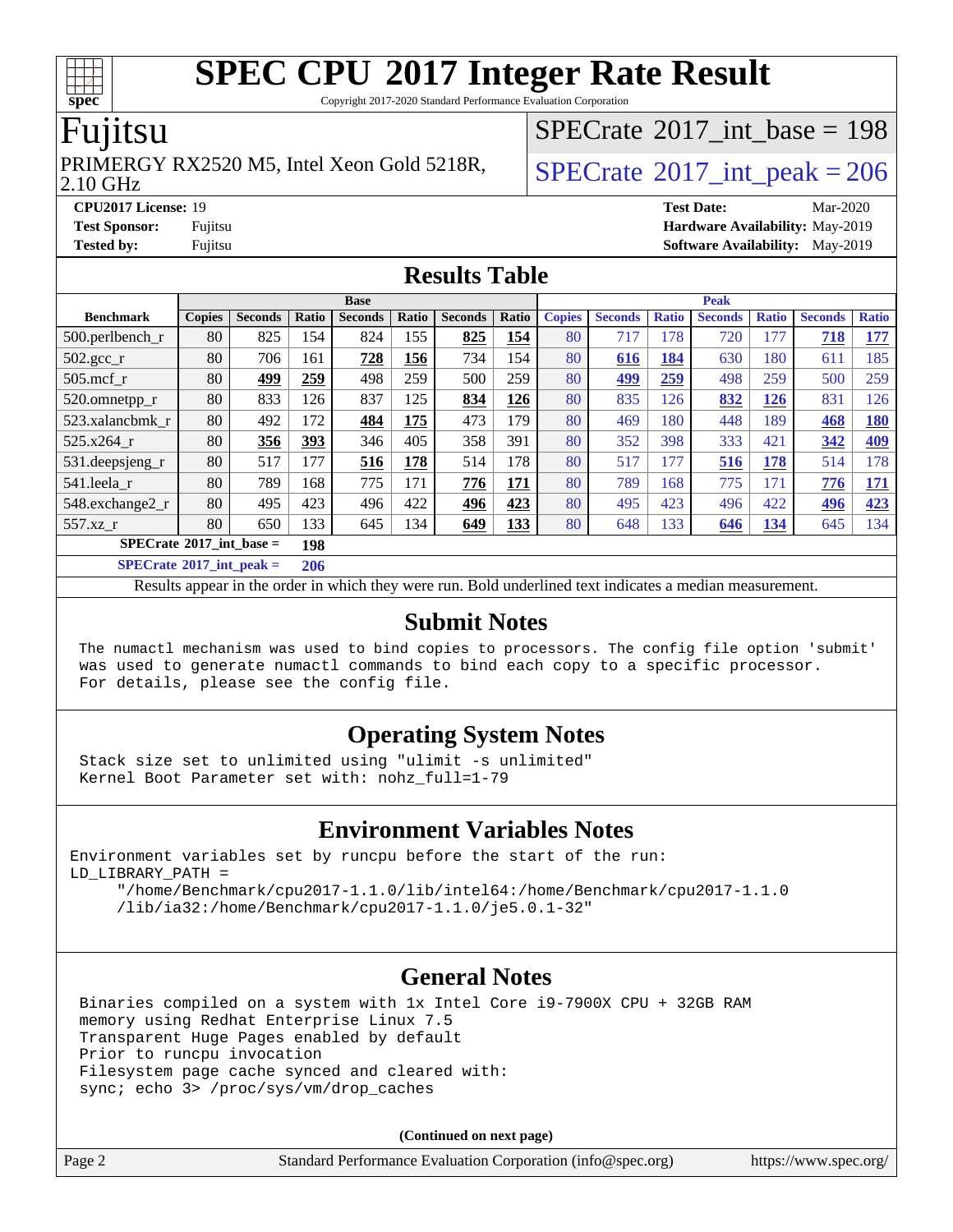Copyright 2017-2020 Standard Performance Evaluation Corporation

#### Fujitsu

#### 2.10 GHz PRIMERGY RX2520 M5, Intel Xeon Gold 5218R,  $\big|$  [SPECrate](http://www.spec.org/auto/cpu2017/Docs/result-fields.html#SPECrate2017intpeak)  $2017$  int peak = 206

 $SPECTate@2017_int\_base = 198$ 

**[CPU2017 License:](http://www.spec.org/auto/cpu2017/Docs/result-fields.html#CPU2017License)** 19 **[Test Date:](http://www.spec.org/auto/cpu2017/Docs/result-fields.html#TestDate)** Mar-2020 **[Test Sponsor:](http://www.spec.org/auto/cpu2017/Docs/result-fields.html#TestSponsor)** Fujitsu **[Hardware Availability:](http://www.spec.org/auto/cpu2017/Docs/result-fields.html#HardwareAvailability)** May-2019 **[Tested by:](http://www.spec.org/auto/cpu2017/Docs/result-fields.html#Testedby)** Fujitsu **Fujitsu <b>[Software Availability:](http://www.spec.org/auto/cpu2017/Docs/result-fields.html#SoftwareAvailability)** May-2019

#### **[Results Table](http://www.spec.org/auto/cpu2017/Docs/result-fields.html#ResultsTable)**

|                                          |               |                |       | <b>Base</b>    |              |                |            | <b>Peak</b>   |                |              |                |              |                |              |
|------------------------------------------|---------------|----------------|-------|----------------|--------------|----------------|------------|---------------|----------------|--------------|----------------|--------------|----------------|--------------|
| <b>Benchmark</b>                         | <b>Copies</b> | <b>Seconds</b> | Ratio | <b>Seconds</b> | <b>Ratio</b> | <b>Seconds</b> | Ratio      | <b>Copies</b> | <b>Seconds</b> | <b>Ratio</b> | <b>Seconds</b> | <b>Ratio</b> | <b>Seconds</b> | <b>Ratio</b> |
| 500.perlbench_r                          | 80            | 825            | 154   | 824            | 155          | 825            | 154        | 80            | 717            | 178          | 720            | 177          | 718            | 177          |
| $502.\text{gcc}$ _r                      | 80            | 706            | 161   | 728            | 156          | 734            | 154        | 80            | 616            | 184          | 630            | 180          | 611            | 185          |
| $505$ .mcf r                             | 80            | 499            | 259   | 498            | 259          | 500            | 259        | 80            | 499            | 259          | 498            | 259          | 500            | 259          |
| 520.omnetpp_r                            | 80            | 833            | 126   | 837            | 125          | 834            | 126        | 80            | 835            | 126          | 832            | <u>126</u>   | 831            | 126          |
| 523.xalancbmk r                          | 80            | 492            | 172   | 484            | 175          | 473            | 179        | 80            | 469            | 180          | 448            | 189          | 468            | <u>180</u>   |
| 525.x264 r                               | 80            | 356            | 393   | 346            | 405          | 358            | 391        | 80            | 352            | 398          | 333            | 421          | 342            | <b>409</b>   |
| 531.deepsjeng_r                          | 80            | 517            | 177   | 516            | 178          | 514            | 178        | 80            | 517            | 177          | 516            | 178          | 514            | 178          |
| 541.leela r                              | 80            | 789            | 168   | 775            | 171          | <b>776</b>     | <u>171</u> | 80            | 789            | 168          | 775            | 171          | 776            | 171          |
| 548.exchange2_r                          | 80            | 495            | 423   | 496            | 422          | 496            | 423        | 80            | 495            | 423          | 496            | 422          | 496            | 423          |
| 557.xz                                   | 80            | 650            | 133   | 645            | 134          | 649            | <u>133</u> | 80            | 648            | 133          | 646            | <u>134</u>   | 645            | 134          |
| $SPECrate^{\circledcirc}2017$ int base = |               |                | 198   |                |              |                |            |               |                |              |                |              |                |              |
| $SPECrate^{\circ}2017$ int peak =        |               |                | 206   |                |              |                |            |               |                |              |                |              |                |              |

Results appear in the [order in which they were run](http://www.spec.org/auto/cpu2017/Docs/result-fields.html#RunOrder). Bold underlined text [indicates a median measurement](http://www.spec.org/auto/cpu2017/Docs/result-fields.html#Median).

#### **[Submit Notes](http://www.spec.org/auto/cpu2017/Docs/result-fields.html#SubmitNotes)**

 The numactl mechanism was used to bind copies to processors. The config file option 'submit' was used to generate numactl commands to bind each copy to a specific processor. For details, please see the config file.

#### **[Operating System Notes](http://www.spec.org/auto/cpu2017/Docs/result-fields.html#OperatingSystemNotes)**

 Stack size set to unlimited using "ulimit -s unlimited" Kernel Boot Parameter set with: nohz\_full=1-79

#### **[Environment Variables Notes](http://www.spec.org/auto/cpu2017/Docs/result-fields.html#EnvironmentVariablesNotes)**

Environment variables set by runcpu before the start of the run: LD\_LIBRARY\_PATH =

 "/home/Benchmark/cpu2017-1.1.0/lib/intel64:/home/Benchmark/cpu2017-1.1.0 /lib/ia32:/home/Benchmark/cpu2017-1.1.0/je5.0.1-32"

#### **[General Notes](http://www.spec.org/auto/cpu2017/Docs/result-fields.html#GeneralNotes)**

 Binaries compiled on a system with 1x Intel Core i9-7900X CPU + 32GB RAM memory using Redhat Enterprise Linux 7.5 Transparent Huge Pages enabled by default Prior to runcpu invocation Filesystem page cache synced and cleared with: sync; echo 3> /proc/sys/vm/drop\_caches

**(Continued on next page)**

| Standard Performance Evaluation Corporation (info@spec.org)<br>Page 2 | https://www.spec.org/ |
|-----------------------------------------------------------------------|-----------------------|
|-----------------------------------------------------------------------|-----------------------|

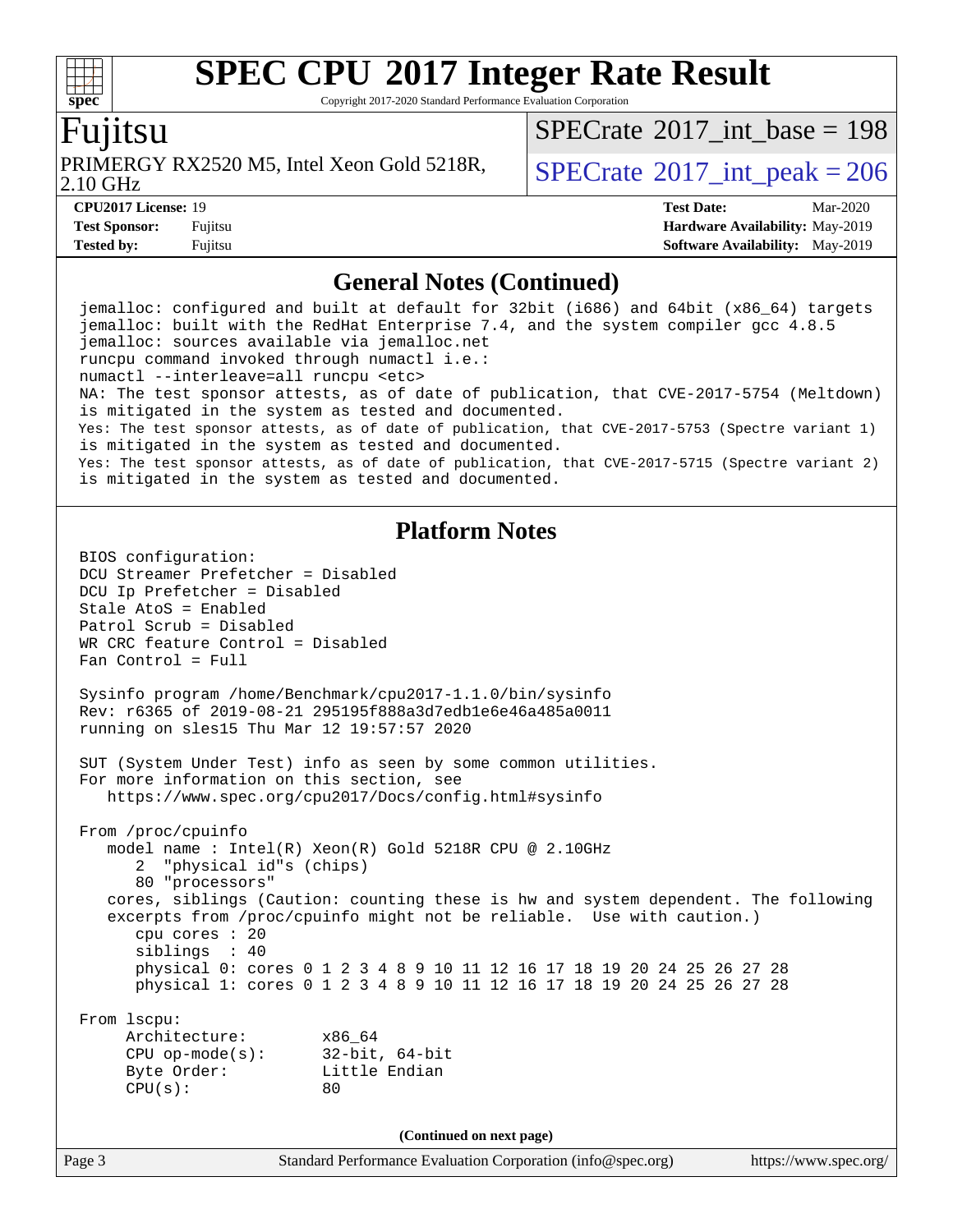Copyright 2017-2020 Standard Performance Evaluation Corporation

#### Fujitsu

**[spec](http://www.spec.org/)**

 $+\ +$ 

2.10 GHz PRIMERGY RX2520 M5, Intel Xeon Gold 5218R,  $\vert$  [SPECrate](http://www.spec.org/auto/cpu2017/Docs/result-fields.html#SPECrate2017intpeak)  $2017$  int peak = 206

 $SPECTate$ <sup>®</sup>[2017\\_int\\_base =](http://www.spec.org/auto/cpu2017/Docs/result-fields.html#SPECrate2017intbase) 198

**[Tested by:](http://www.spec.org/auto/cpu2017/Docs/result-fields.html#Testedby)** Fujitsu **Fugital [Software Availability:](http://www.spec.org/auto/cpu2017/Docs/result-fields.html#SoftwareAvailability)** May-2019

**[CPU2017 License:](http://www.spec.org/auto/cpu2017/Docs/result-fields.html#CPU2017License)** 19 **[Test Date:](http://www.spec.org/auto/cpu2017/Docs/result-fields.html#TestDate)** Mar-2020 **[Test Sponsor:](http://www.spec.org/auto/cpu2017/Docs/result-fields.html#TestSponsor)** Fujitsu **[Hardware Availability:](http://www.spec.org/auto/cpu2017/Docs/result-fields.html#HardwareAvailability)** May-2019

#### **[General Notes \(Continued\)](http://www.spec.org/auto/cpu2017/Docs/result-fields.html#GeneralNotes)**

 jemalloc: configured and built at default for 32bit (i686) and 64bit (x86\_64) targets jemalloc: built with the RedHat Enterprise 7.4, and the system compiler gcc 4.8.5 jemalloc: sources available via jemalloc.net runcpu command invoked through numactl i.e.: numactl --interleave=all runcpu <etc> NA: The test sponsor attests, as of date of publication, that CVE-2017-5754 (Meltdown) is mitigated in the system as tested and documented. Yes: The test sponsor attests, as of date of publication, that CVE-2017-5753 (Spectre variant 1) is mitigated in the system as tested and documented. Yes: The test sponsor attests, as of date of publication, that CVE-2017-5715 (Spectre variant 2) is mitigated in the system as tested and documented. **[Platform Notes](http://www.spec.org/auto/cpu2017/Docs/result-fields.html#PlatformNotes)** BIOS configuration: DCU Streamer Prefetcher = Disabled DCU Ip Prefetcher = Disabled Stale AtoS = Enabled Patrol Scrub = Disabled WR CRC feature Control = Disabled Fan Control = Full Sysinfo program /home/Benchmark/cpu2017-1.1.0/bin/sysinfo Rev: r6365 of 2019-08-21 295195f888a3d7edb1e6e46a485a0011 running on sles15 Thu Mar 12 19:57:57 2020 SUT (System Under Test) info as seen by some common utilities. For more information on this section, see <https://www.spec.org/cpu2017/Docs/config.html#sysinfo> From /proc/cpuinfo model name : Intel(R) Xeon(R) Gold 5218R CPU @ 2.10GHz 2 "physical id"s (chips) 80 "processors" cores, siblings (Caution: counting these is hw and system dependent. The following excerpts from /proc/cpuinfo might not be reliable. Use with caution.) cpu cores : 20 siblings : 40 physical 0: cores 0 1 2 3 4 8 9 10 11 12 16 17 18 19 20 24 25 26 27 28 physical 1: cores 0 1 2 3 4 8 9 10 11 12 16 17 18 19 20 24 25 26 27 28 From lscpu: Architecture: x86\_64 CPU op-mode(s): 32-bit, 64-bit Byte Order: Little Endian  $CPU(s):$  80 **(Continued on next page)**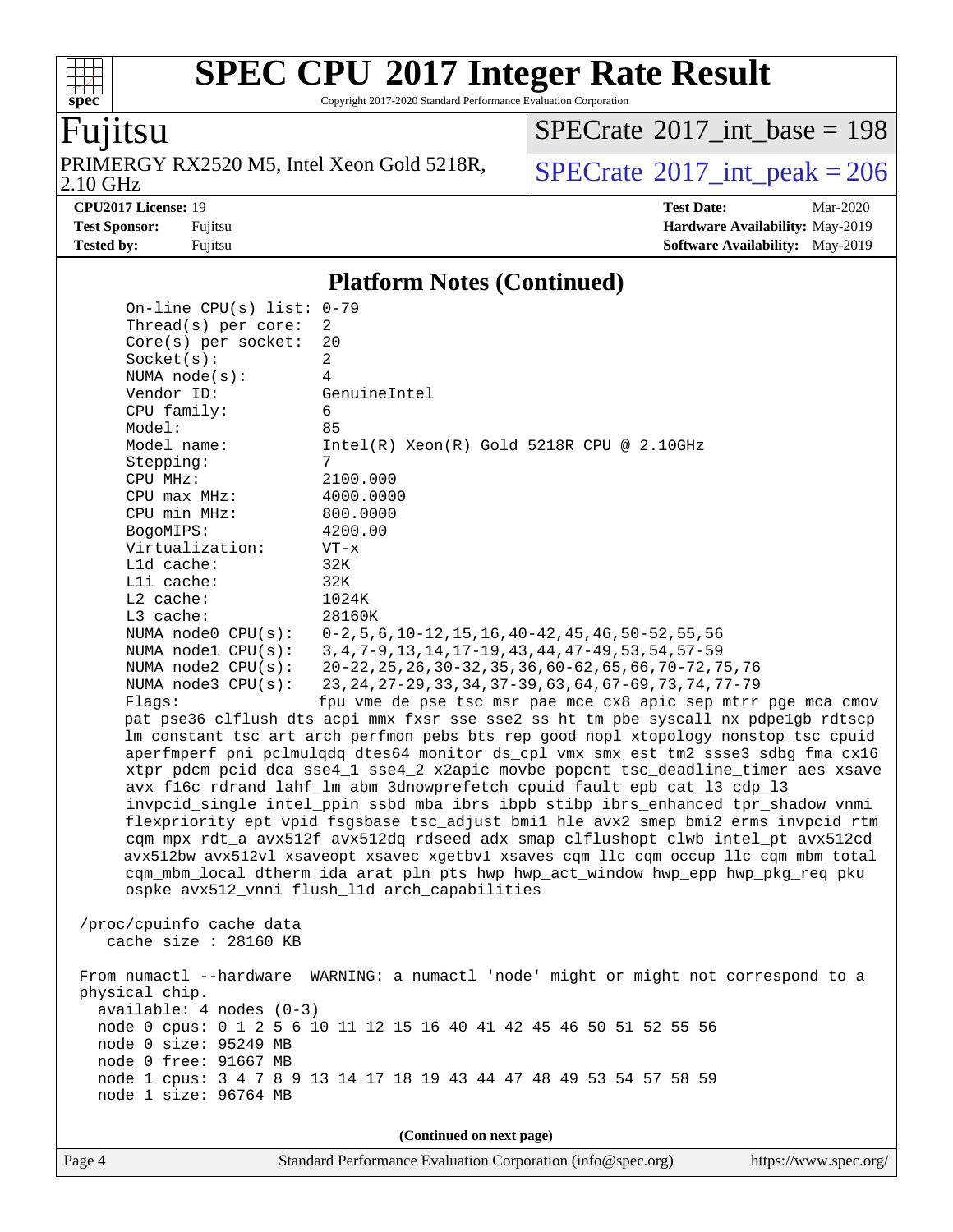Copyright 2017-2020 Standard Performance Evaluation Corporation

### Fujitsu

**[spec](http://www.spec.org/)**

 $+\!\!+\!\!$ 

2.10 GHz PRIMERGY RX2520 M5, Intel Xeon Gold 5218R,  $SPECrate^{\circ}2017\_int\_peak = 206$  $SPECrate^{\circ}2017\_int\_peak = 206$ 

 $SPECrate$ <sup>®</sup>[2017\\_int\\_base =](http://www.spec.org/auto/cpu2017/Docs/result-fields.html#SPECrate2017intbase) 198

**[CPU2017 License:](http://www.spec.org/auto/cpu2017/Docs/result-fields.html#CPU2017License)** 19 **[Test Date:](http://www.spec.org/auto/cpu2017/Docs/result-fields.html#TestDate)** Mar-2020 **[Test Sponsor:](http://www.spec.org/auto/cpu2017/Docs/result-fields.html#TestSponsor)** Fujitsu **[Hardware Availability:](http://www.spec.org/auto/cpu2017/Docs/result-fields.html#HardwareAvailability)** May-2019 **[Tested by:](http://www.spec.org/auto/cpu2017/Docs/result-fields.html#Testedby)** Fujitsu **Fugital [Software Availability:](http://www.spec.org/auto/cpu2017/Docs/result-fields.html#SoftwareAvailability)** May-2019

#### **[Platform Notes \(Continued\)](http://www.spec.org/auto/cpu2017/Docs/result-fields.html#PlatformNotes)**

| Thread(s) per core:<br>$Core(s)$ per socket:       | 2<br>20                                                                                                                  |
|----------------------------------------------------|--------------------------------------------------------------------------------------------------------------------------|
| Socket(s):                                         | 2                                                                                                                        |
| NUMA node(s):                                      | $\overline{4}$                                                                                                           |
| Vendor ID:                                         | GenuineIntel                                                                                                             |
| CPU family:                                        | 6                                                                                                                        |
| Model:                                             | 85                                                                                                                       |
| Model name:                                        | $Intel(R) Xeon(R) Gold 5218R CPU @ 2.10GHz$                                                                              |
| Stepping:                                          | 7                                                                                                                        |
| CPU MHz:                                           | 2100.000                                                                                                                 |
| CPU max MHz:                                       | 4000.0000                                                                                                                |
| CPU min MHz:                                       | 800.0000                                                                                                                 |
| BogoMIPS:                                          | 4200.00                                                                                                                  |
| Virtualization:                                    | $VT - x$                                                                                                                 |
| L1d cache:                                         | 32K                                                                                                                      |
| Lli cache:                                         | 32K                                                                                                                      |
| $L2$ cache:                                        | 1024K                                                                                                                    |
| L3 cache:                                          | 28160K                                                                                                                   |
| NUMA $node0$ $CPU(s)$ :                            | $0-2, 5, 6, 10-12, 15, 16, 40-42, 45, 46, 50-52, 55, 56$                                                                 |
| NUMA $node1$ $CPU(s)$ :<br>NUMA $node2$ $CPU(s)$ : | 3, 4, 7-9, 13, 14, 17-19, 43, 44, 47-49, 53, 54, 57-59                                                                   |
| NUMA $node3$ $CPU(s):$                             | 20-22, 25, 26, 30-32, 35, 36, 60-62, 65, 66, 70-72, 75, 76<br>23, 24, 27-29, 33, 34, 37-39, 63, 64, 67-69, 73, 74, 77-79 |
| Flaqs:                                             | fpu vme de pse tsc msr pae mce cx8 apic sep mtrr pge mca cmov                                                            |
|                                                    | pat pse36 clflush dts acpi mmx fxsr sse sse2 ss ht tm pbe syscall nx pdpelgb rdtscp                                      |
|                                                    | lm constant_tsc art arch_perfmon pebs bts rep_good nopl xtopology nonstop_tsc cpuid                                      |
|                                                    | aperfmperf pni pclmulqdq dtes64 monitor ds_cpl vmx smx est tm2 ssse3 sdbg fma cx16                                       |
|                                                    | xtpr pdcm pcid dca sse4_1 sse4_2 x2apic movbe popcnt tsc_deadline_timer aes xsave                                        |
|                                                    | avx f16c rdrand lahf_lm abm 3dnowprefetch cpuid_fault epb cat_13 cdp_13                                                  |
|                                                    | invpcid_single intel_ppin ssbd mba ibrs ibpb stibp ibrs_enhanced tpr_shadow vnmi                                         |
|                                                    | flexpriority ept vpid fsgsbase tsc_adjust bmil hle avx2 smep bmi2 erms invpcid rtm                                       |
|                                                    | cqm mpx rdt_a avx512f avx512dq rdseed adx smap clflushopt clwb intel_pt avx512cd                                         |
|                                                    | avx512bw avx512vl xsaveopt xsavec xgetbvl xsaves cqm_llc cqm_occup_llc cqm_mbm_total                                     |
|                                                    | cqm_mbm_local dtherm ida arat pln pts hwp hwp_act_window hwp_epp hwp_pkg_req pku                                         |
|                                                    | ospke avx512_vnni flush_l1d arch_capabilities                                                                            |
|                                                    |                                                                                                                          |
| /proc/cpuinfo cache data                           |                                                                                                                          |
| cache size : 28160 KB                              |                                                                                                                          |
|                                                    | From numactl --hardware WARNING: a numactl 'node' might or might not correspond to a                                     |
| physical chip.                                     |                                                                                                                          |
| $available: 4 nodes (0-3)$                         |                                                                                                                          |
|                                                    | node 0 cpus: 0 1 2 5 6 10 11 12 15 16 40 41 42 45 46 50 51 52 55 56                                                      |
| node 0 size: 95249 MB                              |                                                                                                                          |
| node 0 free: 91667 MB                              |                                                                                                                          |
|                                                    | node 1 cpus: 3 4 7 8 9 13 14 17 18 19 43 44 47 48 49 53 54 57 58 59                                                      |
| node 1 size: 96764 MB                              |                                                                                                                          |
|                                                    |                                                                                                                          |
|                                                    | (Continued on next page)                                                                                                 |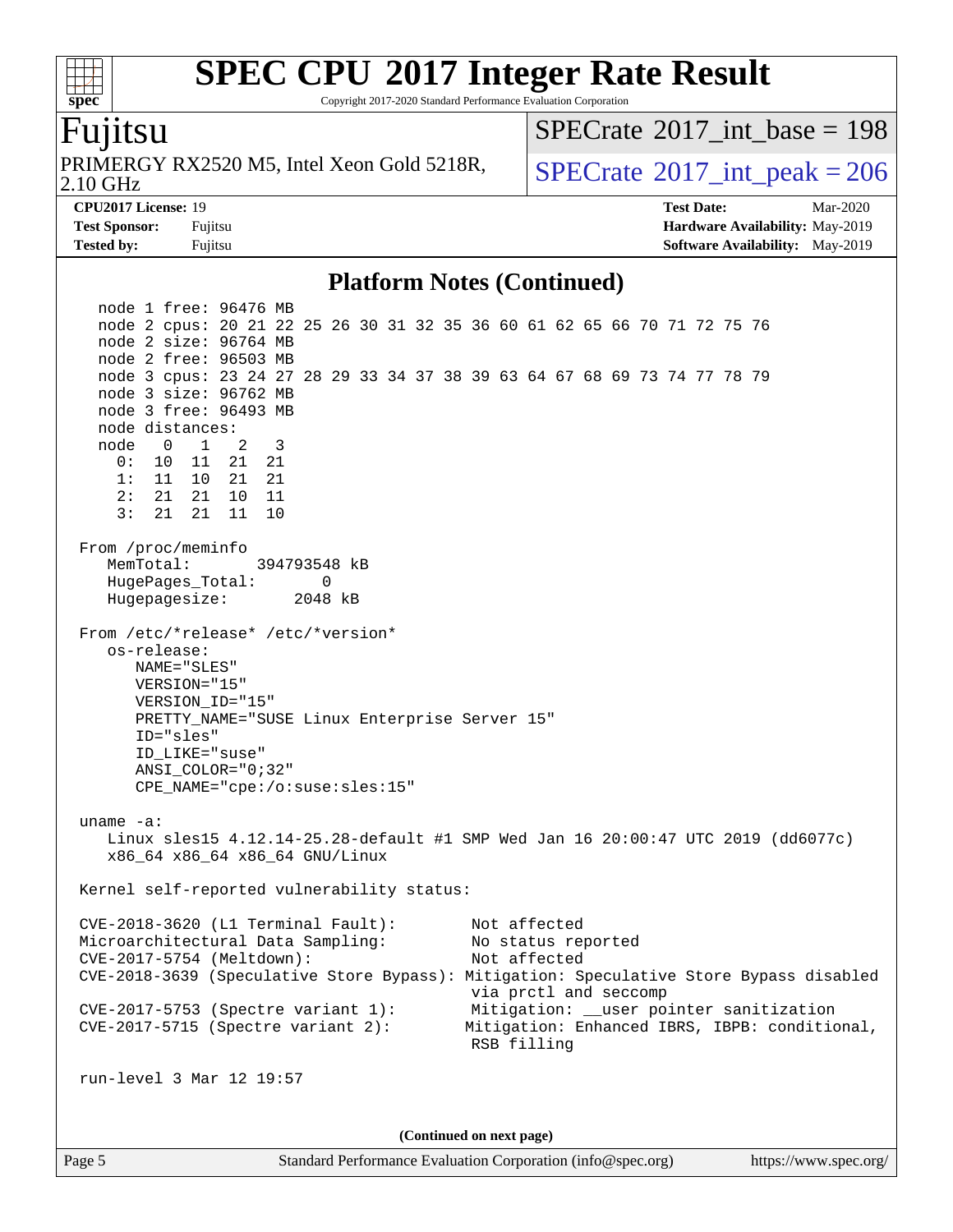Copyright 2017-2020 Standard Performance Evaluation Corporation

#### Fujitsu

**[spec](http://www.spec.org/)**

 $+\ +$ 

2.10 GHz PRIMERGY RX2520 M5, Intel Xeon Gold 5218R,  $\vert$  [SPECrate](http://www.spec.org/auto/cpu2017/Docs/result-fields.html#SPECrate2017intpeak)  $2017$  int peak = 206

 $SPECTate$ <sup>®</sup>[2017\\_int\\_base =](http://www.spec.org/auto/cpu2017/Docs/result-fields.html#SPECrate2017intbase) 198

**[CPU2017 License:](http://www.spec.org/auto/cpu2017/Docs/result-fields.html#CPU2017License)** 19 **[Test Date:](http://www.spec.org/auto/cpu2017/Docs/result-fields.html#TestDate)** Mar-2020 **[Test Sponsor:](http://www.spec.org/auto/cpu2017/Docs/result-fields.html#TestSponsor)** Fujitsu **[Hardware Availability:](http://www.spec.org/auto/cpu2017/Docs/result-fields.html#HardwareAvailability)** May-2019 **[Tested by:](http://www.spec.org/auto/cpu2017/Docs/result-fields.html#Testedby)** Fujitsu **Fujitsu <b>[Software Availability:](http://www.spec.org/auto/cpu2017/Docs/result-fields.html#SoftwareAvailability)** May-2019

#### **[Platform Notes \(Continued\)](http://www.spec.org/auto/cpu2017/Docs/result-fields.html#PlatformNotes)**

 node 1 free: 96476 MB node 2 cpus: 20 21 22 25 26 30 31 32 35 36 60 61 62 65 66 70 71 72 75 76 node 2 size: 96764 MB node 2 free: 96503 MB node 3 cpus: 23 24 27 28 29 33 34 37 38 39 63 64 67 68 69 73 74 77 78 79 node 3 size: 96762 MB node 3 free: 96493 MB node distances: node 0 1 2 3 0: 10 11 21 21 1: 11 10 21 21 2: 21 21 10 11 3: 21 21 11 10 From /proc/meminfo MemTotal: 394793548 kB HugePages\_Total: 0 Hugepagesize: 2048 kB From /etc/\*release\* /etc/\*version\* os-release: NAME="SLES" VERSION="15" VERSION\_ID="15" PRETTY\_NAME="SUSE Linux Enterprise Server 15" ID="sles" ID\_LIKE="suse" ANSI\_COLOR="0;32" CPE\_NAME="cpe:/o:suse:sles:15" uname -a: Linux sles15 4.12.14-25.28-default #1 SMP Wed Jan 16 20:00:47 UTC 2019 (dd6077c) x86\_64 x86\_64 x86\_64 GNU/Linux Kernel self-reported vulnerability status: CVE-2018-3620 (L1 Terminal Fault): Not affected Microarchitectural Data Sampling: No status reported CVE-2017-5754 (Meltdown): Not affected CVE-2018-3639 (Speculative Store Bypass): Mitigation: Speculative Store Bypass disabled via prctl and seccomp CVE-2017-5753 (Spectre variant 1): Mitigation: \_\_user pointer sanitization CVE-2017-5715 (Spectre variant 2): Mitigation: Enhanced IBRS, IBPB: conditional, RSB filling run-level 3 Mar 12 19:57 **(Continued on next page)**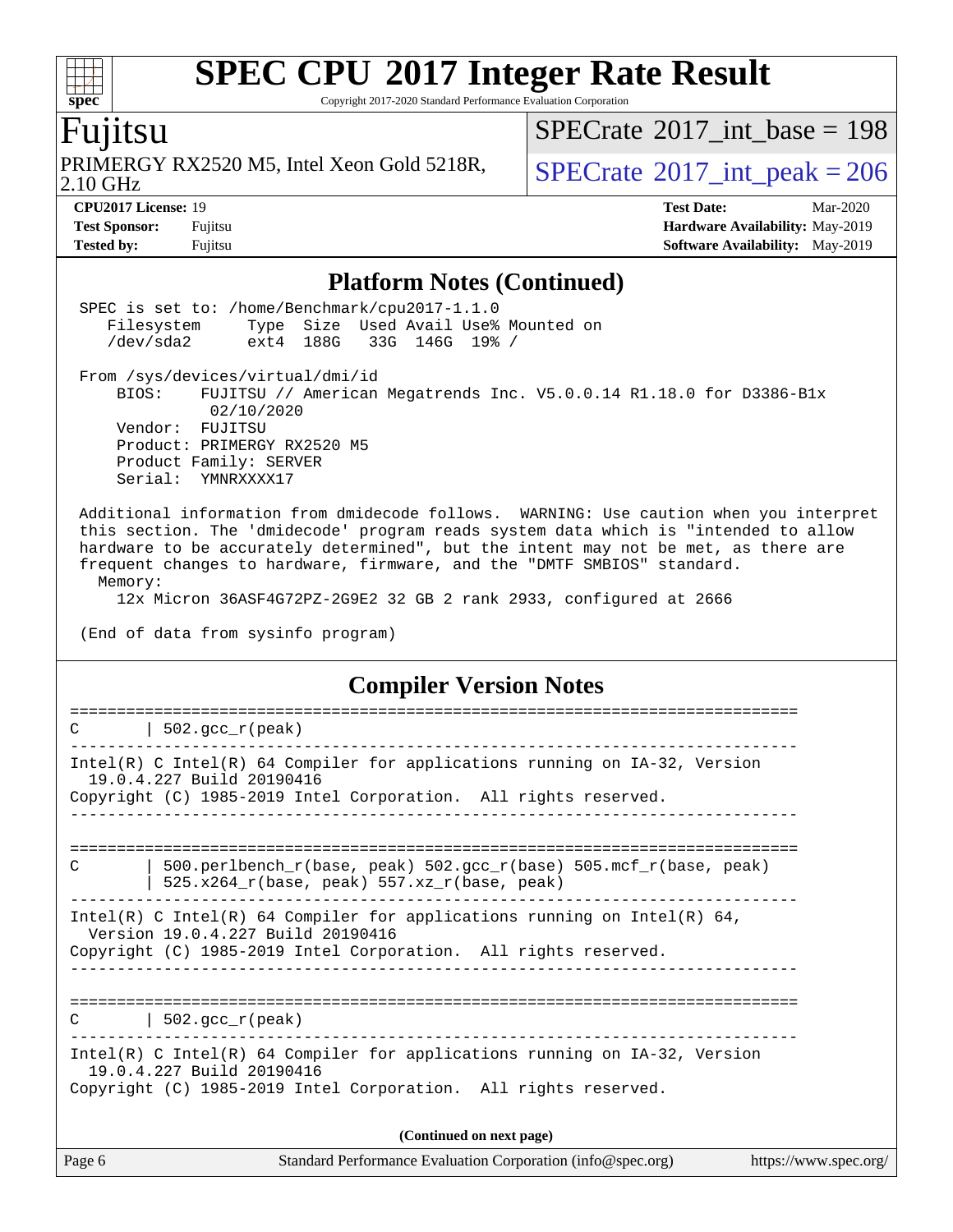Copyright 2017-2020 Standard Performance Evaluation Corporation

### Fujitsu

**[spec](http://www.spec.org/)**

 $\color{red} \dashv \dashv \color{red} \dashv$ 

2.10 GHz PRIMERGY RX2520 M5, Intel Xeon Gold 5218R,  $SPECrate^{\circ}2017\_int\_peak = 206$  $SPECrate^{\circ}2017\_int\_peak = 206$ 

 $SPECrate$ <sup>®</sup>[2017\\_int\\_base =](http://www.spec.org/auto/cpu2017/Docs/result-fields.html#SPECrate2017intbase) 198

**[CPU2017 License:](http://www.spec.org/auto/cpu2017/Docs/result-fields.html#CPU2017License)** 19 **[Test Date:](http://www.spec.org/auto/cpu2017/Docs/result-fields.html#TestDate)** Mar-2020 **[Test Sponsor:](http://www.spec.org/auto/cpu2017/Docs/result-fields.html#TestSponsor)** Fujitsu **[Hardware Availability:](http://www.spec.org/auto/cpu2017/Docs/result-fields.html#HardwareAvailability)** May-2019 **[Tested by:](http://www.spec.org/auto/cpu2017/Docs/result-fields.html#Testedby)** Fujitsu **Fugital Example 2019 [Software Availability:](http://www.spec.org/auto/cpu2017/Docs/result-fields.html#SoftwareAvailability)** May-2019

#### **[Platform Notes \(Continued\)](http://www.spec.org/auto/cpu2017/Docs/result-fields.html#PlatformNotes)**

| (Continued on next page)                                                                                                                                                                                                                                                                                                                                  |  |
|-----------------------------------------------------------------------------------------------------------------------------------------------------------------------------------------------------------------------------------------------------------------------------------------------------------------------------------------------------------|--|
| Intel(R) C Intel(R) 64 Compiler for applications running on $IA-32$ , Version<br>19.0.4.227 Build 20190416<br>Copyright (C) 1985-2019 Intel Corporation. All rights reserved.                                                                                                                                                                             |  |
| $\vert$ 502.gcc_r(peak)<br>C                                                                                                                                                                                                                                                                                                                              |  |
| Intel(R) C Intel(R) 64 Compiler for applications running on Intel(R) 64,<br>Version 19.0.4.227 Build 20190416<br>Copyright (C) 1985-2019 Intel Corporation. All rights reserved.                                                                                                                                                                          |  |
| 500.perlbench_r(base, peak) 502.gcc_r(base) 505.mcf_r(base, peak)<br>C<br>$525.x264_r(base, peak) 557.xz_r(base, peak)$                                                                                                                                                                                                                                   |  |
| Intel(R) C Intel(R) 64 Compiler for applications running on IA-32, Version<br>19.0.4.227 Build 20190416<br>Copyright (C) 1985-2019 Intel Corporation. All rights reserved.                                                                                                                                                                                |  |
| ===========================<br>$\vert$ 502.gcc_r(peak)<br>C                                                                                                                                                                                                                                                                                               |  |
| <b>Compiler Version Notes</b>                                                                                                                                                                                                                                                                                                                             |  |
| 12x Micron 36ASF4G72PZ-2G9E2 32 GB 2 rank 2933, configured at 2666<br>(End of data from sysinfo program)                                                                                                                                                                                                                                                  |  |
| Additional information from dmidecode follows. WARNING: Use caution when you interpret<br>this section. The 'dmidecode' program reads system data which is "intended to allow<br>hardware to be accurately determined", but the intent may not be met, as there are<br>frequent changes to hardware, firmware, and the "DMTF SMBIOS" standard.<br>Memory: |  |
| From /sys/devices/virtual/dmi/id<br>BIOS:<br>FUJITSU // American Megatrends Inc. V5.0.0.14 R1.18.0 for D3386-Blx<br>02/10/2020<br>Vendor: FUJITSU<br>Product: PRIMERGY RX2520 M5<br>Product Family: SERVER<br>Serial: YMNRXXXX17                                                                                                                          |  |
| SPEC is set to: /home/Benchmark/cpu2017-1.1.0<br>Filesystem Type Size Used Avail Use% Mounted on<br>/dev/sda2 ext4 188G 33G 146G 19% /                                                                                                                                                                                                                    |  |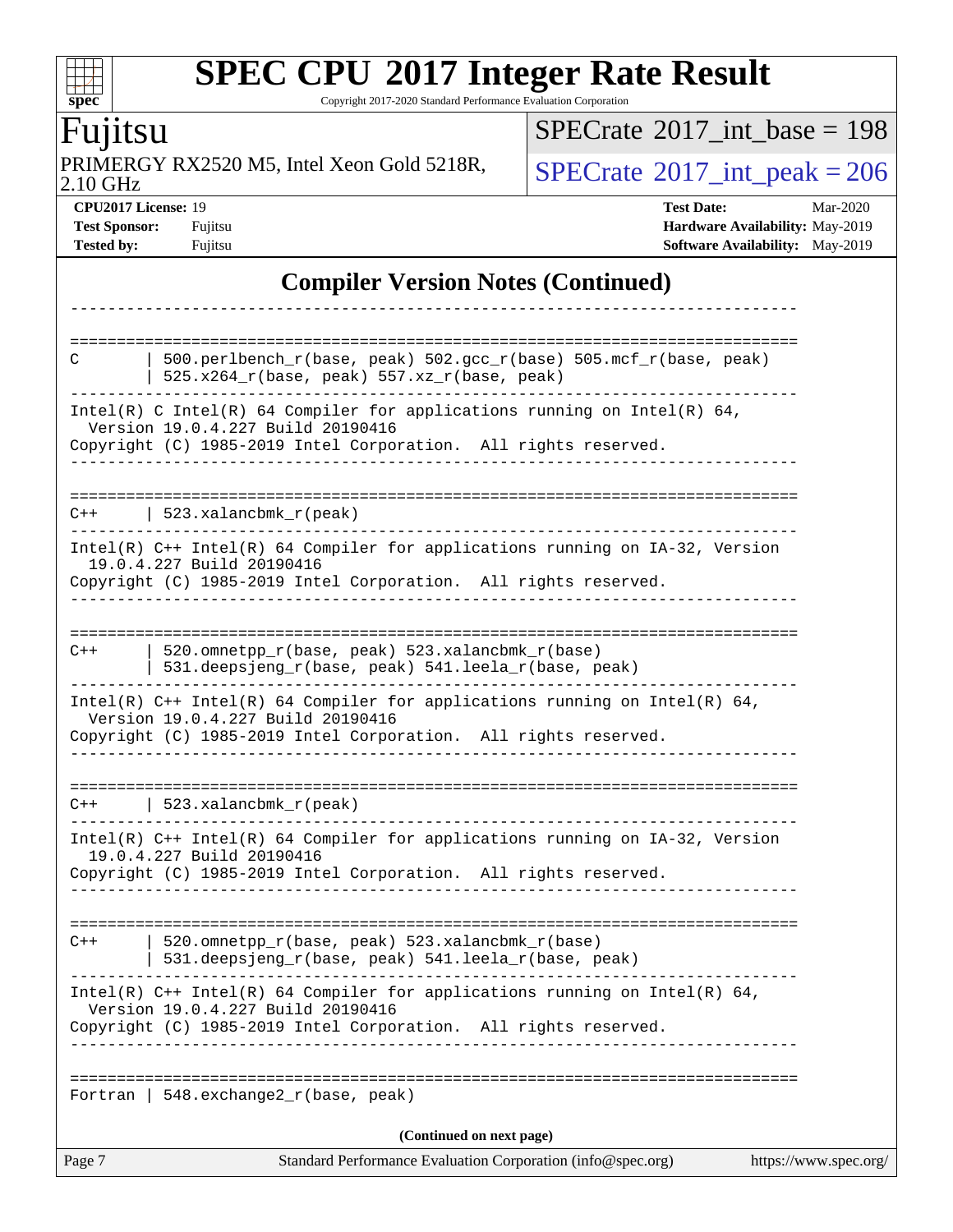Copyright 2017-2020 Standard Performance Evaluation Corporation

### Fujitsu

**[spec](http://www.spec.org/)**

2.10 GHz PRIMERGY RX2520 M5, Intel Xeon Gold 5218R,  $SPECrate^{\circ}2017\_int\_peak = 206$  $SPECrate^{\circ}2017\_int\_peak = 206$ 

 $SPECrate$ <sup>®</sup>[2017\\_int\\_base =](http://www.spec.org/auto/cpu2017/Docs/result-fields.html#SPECrate2017intbase) 198

**[CPU2017 License:](http://www.spec.org/auto/cpu2017/Docs/result-fields.html#CPU2017License)** 19 **[Test Date:](http://www.spec.org/auto/cpu2017/Docs/result-fields.html#TestDate)** Mar-2020 **[Test Sponsor:](http://www.spec.org/auto/cpu2017/Docs/result-fields.html#TestSponsor)** Fujitsu **[Hardware Availability:](http://www.spec.org/auto/cpu2017/Docs/result-fields.html#HardwareAvailability)** May-2019 **[Tested by:](http://www.spec.org/auto/cpu2017/Docs/result-fields.html#Testedby)** Fujitsu **Fugital Example 2019 [Software Availability:](http://www.spec.org/auto/cpu2017/Docs/result-fields.html#SoftwareAvailability)** May-2019

#### **[Compiler Version Notes \(Continued\)](http://www.spec.org/auto/cpu2017/Docs/result-fields.html#CompilerVersionNotes)**

| $C++$<br>$C++$<br>Fortran | 520.omnetpp_r(base, peak) 523.xalancbmk_r(base)<br>531.deepsjeng_r(base, peak) 541.leela_r(base, peak)<br>Intel(R) $C++$ Intel(R) 64 Compiler for applications running on Intel(R) 64,<br>Version 19.0.4.227 Build 20190416<br>Copyright (C) 1985-2019 Intel Corporation. All rights reserved.<br>$C++$   523.xalancbmk_r(peak)<br>Intel(R) $C++$ Intel(R) 64 Compiler for applications running on $IA-32$ , Version<br>19.0.4.227 Build 20190416<br>Copyright (C) 1985-2019 Intel Corporation. All rights reserved.<br>520.omnetpp_r(base, peak) 523.xalancbmk_r(base)<br>531.deepsjeng_r(base, peak) 541.leela_r(base, peak)<br>Intel(R) C++ Intel(R) 64 Compiler for applications running on Intel(R) 64,<br>Version 19.0.4.227 Build 20190416<br>Copyright (C) 1985-2019 Intel Corporation. All rights reserved.<br>548.exchange2_r(base, peak)<br>(Continued on next page) |  |
|---------------------------|---------------------------------------------------------------------------------------------------------------------------------------------------------------------------------------------------------------------------------------------------------------------------------------------------------------------------------------------------------------------------------------------------------------------------------------------------------------------------------------------------------------------------------------------------------------------------------------------------------------------------------------------------------------------------------------------------------------------------------------------------------------------------------------------------------------------------------------------------------------------------------|--|
|                           |                                                                                                                                                                                                                                                                                                                                                                                                                                                                                                                                                                                                                                                                                                                                                                                                                                                                                 |  |
|                           |                                                                                                                                                                                                                                                                                                                                                                                                                                                                                                                                                                                                                                                                                                                                                                                                                                                                                 |  |
|                           |                                                                                                                                                                                                                                                                                                                                                                                                                                                                                                                                                                                                                                                                                                                                                                                                                                                                                 |  |
|                           |                                                                                                                                                                                                                                                                                                                                                                                                                                                                                                                                                                                                                                                                                                                                                                                                                                                                                 |  |
|                           |                                                                                                                                                                                                                                                                                                                                                                                                                                                                                                                                                                                                                                                                                                                                                                                                                                                                                 |  |
|                           |                                                                                                                                                                                                                                                                                                                                                                                                                                                                                                                                                                                                                                                                                                                                                                                                                                                                                 |  |
|                           |                                                                                                                                                                                                                                                                                                                                                                                                                                                                                                                                                                                                                                                                                                                                                                                                                                                                                 |  |
|                           |                                                                                                                                                                                                                                                                                                                                                                                                                                                                                                                                                                                                                                                                                                                                                                                                                                                                                 |  |
|                           |                                                                                                                                                                                                                                                                                                                                                                                                                                                                                                                                                                                                                                                                                                                                                                                                                                                                                 |  |
|                           | $Intel(R)$ C++ Intel(R) 64 Compiler for applications running on IA-32, Version<br>19.0.4.227 Build 20190416<br>Copyright (C) 1985-2019 Intel Corporation. All rights reserved.                                                                                                                                                                                                                                                                                                                                                                                                                                                                                                                                                                                                                                                                                                  |  |
|                           | $C++$   523.xalancbmk_r(peak)                                                                                                                                                                                                                                                                                                                                                                                                                                                                                                                                                                                                                                                                                                                                                                                                                                                   |  |
|                           | Intel(R) C Intel(R) 64 Compiler for applications running on Intel(R) 64,<br>Version 19.0.4.227 Build 20190416<br>Copyright (C) 1985-2019 Intel Corporation. All rights reserved.                                                                                                                                                                                                                                                                                                                                                                                                                                                                                                                                                                                                                                                                                                |  |
|                           | $525.x264_r(base, peak) 557.xz_r(base, peak)$                                                                                                                                                                                                                                                                                                                                                                                                                                                                                                                                                                                                                                                                                                                                                                                                                                   |  |
| C                         | 500.perlbench_r(base, peak) 502.gcc_r(base) 505.mcf_r(base, peak)                                                                                                                                                                                                                                                                                                                                                                                                                                                                                                                                                                                                                                                                                                                                                                                                               |  |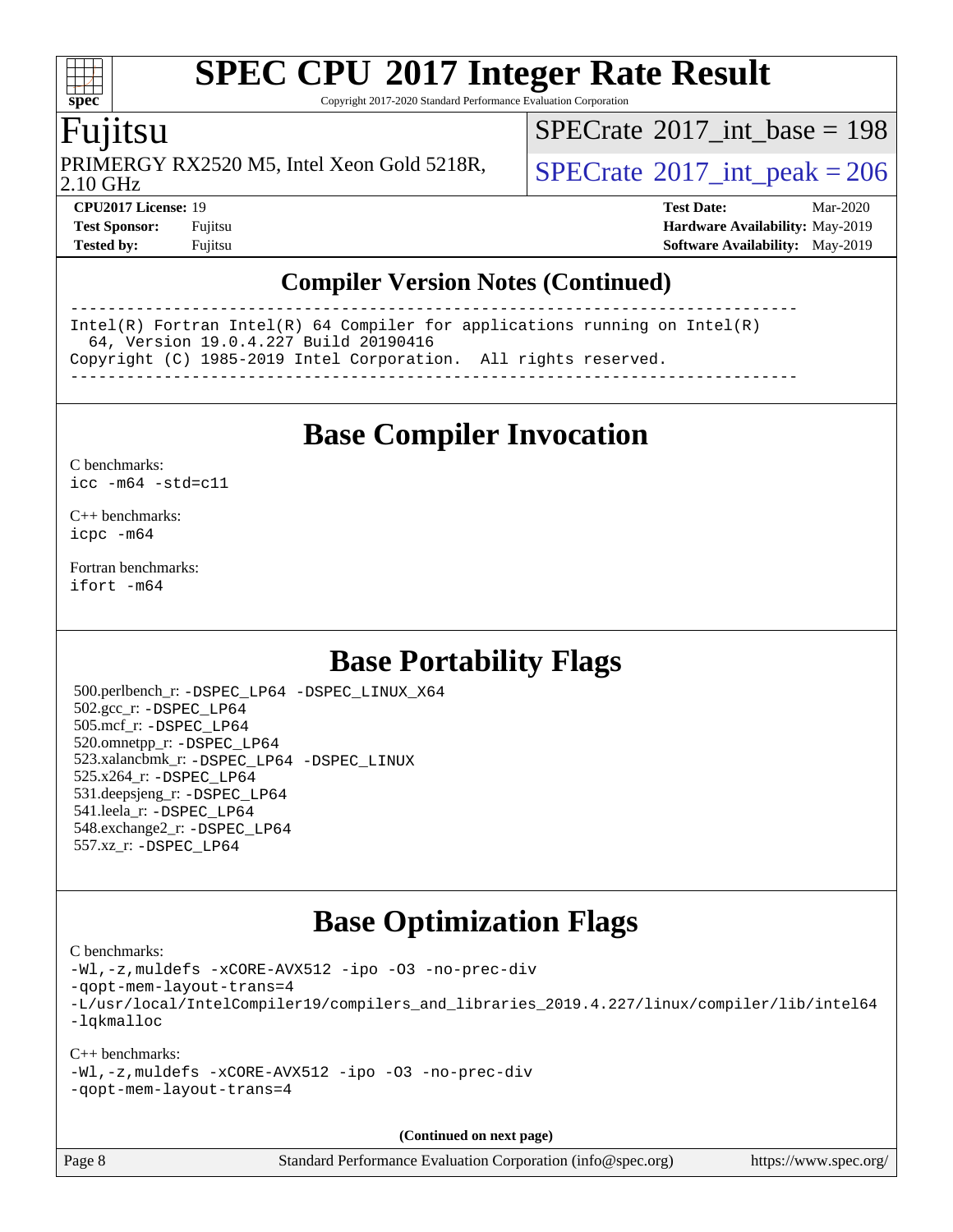Copyright 2017-2020 Standard Performance Evaluation Corporation

### Fujitsu

**[spec](http://www.spec.org/)**

2.10 GHz PRIMERGY RX2520 M5, Intel Xeon Gold 5218R,  $\vert$  [SPECrate](http://www.spec.org/auto/cpu2017/Docs/result-fields.html#SPECrate2017intpeak)  $2017$  int peak = 206

 $SPECTate@2017_int\_base = 198$ 

**[CPU2017 License:](http://www.spec.org/auto/cpu2017/Docs/result-fields.html#CPU2017License)** 19 **[Test Date:](http://www.spec.org/auto/cpu2017/Docs/result-fields.html#TestDate)** Mar-2020 **[Test Sponsor:](http://www.spec.org/auto/cpu2017/Docs/result-fields.html#TestSponsor)** Fujitsu **[Hardware Availability:](http://www.spec.org/auto/cpu2017/Docs/result-fields.html#HardwareAvailability)** May-2019 **[Tested by:](http://www.spec.org/auto/cpu2017/Docs/result-fields.html#Testedby)** Fujitsu **[Software Availability:](http://www.spec.org/auto/cpu2017/Docs/result-fields.html#SoftwareAvailability)** May-2019

#### **[Compiler Version Notes \(Continued\)](http://www.spec.org/auto/cpu2017/Docs/result-fields.html#CompilerVersionNotes)**

------------------------------------------------------------------------------ Intel(R) Fortran Intel(R) 64 Compiler for applications running on Intel(R) 64, Version 19.0.4.227 Build 20190416 Copyright (C) 1985-2019 Intel Corporation. All rights reserved. ------------------------------------------------------------------------------

**[Base Compiler Invocation](http://www.spec.org/auto/cpu2017/Docs/result-fields.html#BaseCompilerInvocation)**

[C benchmarks](http://www.spec.org/auto/cpu2017/Docs/result-fields.html#Cbenchmarks): [icc -m64 -std=c11](http://www.spec.org/cpu2017/results/res2020q2/cpu2017-20200331-21874.flags.html#user_CCbase_intel_icc_64bit_c11_33ee0cdaae7deeeab2a9725423ba97205ce30f63b9926c2519791662299b76a0318f32ddfffdc46587804de3178b4f9328c46fa7c2b0cd779d7a61945c91cd35)

[C++ benchmarks:](http://www.spec.org/auto/cpu2017/Docs/result-fields.html#CXXbenchmarks) [icpc -m64](http://www.spec.org/cpu2017/results/res2020q2/cpu2017-20200331-21874.flags.html#user_CXXbase_intel_icpc_64bit_4ecb2543ae3f1412ef961e0650ca070fec7b7afdcd6ed48761b84423119d1bf6bdf5cad15b44d48e7256388bc77273b966e5eb805aefd121eb22e9299b2ec9d9)

[Fortran benchmarks](http://www.spec.org/auto/cpu2017/Docs/result-fields.html#Fortranbenchmarks): [ifort -m64](http://www.spec.org/cpu2017/results/res2020q2/cpu2017-20200331-21874.flags.html#user_FCbase_intel_ifort_64bit_24f2bb282fbaeffd6157abe4f878425411749daecae9a33200eee2bee2fe76f3b89351d69a8130dd5949958ce389cf37ff59a95e7a40d588e8d3a57e0c3fd751)

### **[Base Portability Flags](http://www.spec.org/auto/cpu2017/Docs/result-fields.html#BasePortabilityFlags)**

 500.perlbench\_r: [-DSPEC\\_LP64](http://www.spec.org/cpu2017/results/res2020q2/cpu2017-20200331-21874.flags.html#b500.perlbench_r_basePORTABILITY_DSPEC_LP64) [-DSPEC\\_LINUX\\_X64](http://www.spec.org/cpu2017/results/res2020q2/cpu2017-20200331-21874.flags.html#b500.perlbench_r_baseCPORTABILITY_DSPEC_LINUX_X64) 502.gcc\_r: [-DSPEC\\_LP64](http://www.spec.org/cpu2017/results/res2020q2/cpu2017-20200331-21874.flags.html#suite_basePORTABILITY502_gcc_r_DSPEC_LP64) 505.mcf\_r: [-DSPEC\\_LP64](http://www.spec.org/cpu2017/results/res2020q2/cpu2017-20200331-21874.flags.html#suite_basePORTABILITY505_mcf_r_DSPEC_LP64) 520.omnetpp\_r: [-DSPEC\\_LP64](http://www.spec.org/cpu2017/results/res2020q2/cpu2017-20200331-21874.flags.html#suite_basePORTABILITY520_omnetpp_r_DSPEC_LP64) 523.xalancbmk\_r: [-DSPEC\\_LP64](http://www.spec.org/cpu2017/results/res2020q2/cpu2017-20200331-21874.flags.html#suite_basePORTABILITY523_xalancbmk_r_DSPEC_LP64) [-DSPEC\\_LINUX](http://www.spec.org/cpu2017/results/res2020q2/cpu2017-20200331-21874.flags.html#b523.xalancbmk_r_baseCXXPORTABILITY_DSPEC_LINUX) 525.x264\_r: [-DSPEC\\_LP64](http://www.spec.org/cpu2017/results/res2020q2/cpu2017-20200331-21874.flags.html#suite_basePORTABILITY525_x264_r_DSPEC_LP64) 531.deepsjeng\_r: [-DSPEC\\_LP64](http://www.spec.org/cpu2017/results/res2020q2/cpu2017-20200331-21874.flags.html#suite_basePORTABILITY531_deepsjeng_r_DSPEC_LP64) 541.leela\_r: [-DSPEC\\_LP64](http://www.spec.org/cpu2017/results/res2020q2/cpu2017-20200331-21874.flags.html#suite_basePORTABILITY541_leela_r_DSPEC_LP64) 548.exchange2\_r: [-DSPEC\\_LP64](http://www.spec.org/cpu2017/results/res2020q2/cpu2017-20200331-21874.flags.html#suite_basePORTABILITY548_exchange2_r_DSPEC_LP64) 557.xz\_r: [-DSPEC\\_LP64](http://www.spec.org/cpu2017/results/res2020q2/cpu2017-20200331-21874.flags.html#suite_basePORTABILITY557_xz_r_DSPEC_LP64)

### **[Base Optimization Flags](http://www.spec.org/auto/cpu2017/Docs/result-fields.html#BaseOptimizationFlags)**

[C benchmarks](http://www.spec.org/auto/cpu2017/Docs/result-fields.html#Cbenchmarks):

[-Wl,-z,muldefs](http://www.spec.org/cpu2017/results/res2020q2/cpu2017-20200331-21874.flags.html#user_CCbase_link_force_multiple1_b4cbdb97b34bdee9ceefcfe54f4c8ea74255f0b02a4b23e853cdb0e18eb4525ac79b5a88067c842dd0ee6996c24547a27a4b99331201badda8798ef8a743f577) [-xCORE-AVX512](http://www.spec.org/cpu2017/results/res2020q2/cpu2017-20200331-21874.flags.html#user_CCbase_f-xCORE-AVX512) [-ipo](http://www.spec.org/cpu2017/results/res2020q2/cpu2017-20200331-21874.flags.html#user_CCbase_f-ipo) [-O3](http://www.spec.org/cpu2017/results/res2020q2/cpu2017-20200331-21874.flags.html#user_CCbase_f-O3) [-no-prec-div](http://www.spec.org/cpu2017/results/res2020q2/cpu2017-20200331-21874.flags.html#user_CCbase_f-no-prec-div) [-qopt-mem-layout-trans=4](http://www.spec.org/cpu2017/results/res2020q2/cpu2017-20200331-21874.flags.html#user_CCbase_f-qopt-mem-layout-trans_fa39e755916c150a61361b7846f310bcdf6f04e385ef281cadf3647acec3f0ae266d1a1d22d972a7087a248fd4e6ca390a3634700869573d231a252c784941a8) [-L/usr/local/IntelCompiler19/compilers\\_and\\_libraries\\_2019.4.227/linux/compiler/lib/intel64](http://www.spec.org/cpu2017/results/res2020q2/cpu2017-20200331-21874.flags.html#user_CCbase_qkmalloc_link_0ffe0cb02c68ef1b443a077c7888c10c67ca0d1dd7138472156f06a085bbad385f78d49618ad55dca9db3b1608e84afc2f69b4003b1d1ca498a9fc1462ccefda) [-lqkmalloc](http://www.spec.org/cpu2017/results/res2020q2/cpu2017-20200331-21874.flags.html#user_CCbase_qkmalloc_link_lib_79a818439969f771c6bc311cfd333c00fc099dad35c030f5aab9dda831713d2015205805422f83de8875488a2991c0a156aaa600e1f9138f8fc37004abc96dc5)

#### [C++ benchmarks](http://www.spec.org/auto/cpu2017/Docs/result-fields.html#CXXbenchmarks): [-Wl,-z,muldefs](http://www.spec.org/cpu2017/results/res2020q2/cpu2017-20200331-21874.flags.html#user_CXXbase_link_force_multiple1_b4cbdb97b34bdee9ceefcfe54f4c8ea74255f0b02a4b23e853cdb0e18eb4525ac79b5a88067c842dd0ee6996c24547a27a4b99331201badda8798ef8a743f577) [-xCORE-AVX512](http://www.spec.org/cpu2017/results/res2020q2/cpu2017-20200331-21874.flags.html#user_CXXbase_f-xCORE-AVX512) [-ipo](http://www.spec.org/cpu2017/results/res2020q2/cpu2017-20200331-21874.flags.html#user_CXXbase_f-ipo) [-O3](http://www.spec.org/cpu2017/results/res2020q2/cpu2017-20200331-21874.flags.html#user_CXXbase_f-O3) [-no-prec-div](http://www.spec.org/cpu2017/results/res2020q2/cpu2017-20200331-21874.flags.html#user_CXXbase_f-no-prec-div) [-qopt-mem-layout-trans=4](http://www.spec.org/cpu2017/results/res2020q2/cpu2017-20200331-21874.flags.html#user_CXXbase_f-qopt-mem-layout-trans_fa39e755916c150a61361b7846f310bcdf6f04e385ef281cadf3647acec3f0ae266d1a1d22d972a7087a248fd4e6ca390a3634700869573d231a252c784941a8)

**(Continued on next page)**

Page 8 Standard Performance Evaluation Corporation [\(info@spec.org\)](mailto:info@spec.org) <https://www.spec.org/>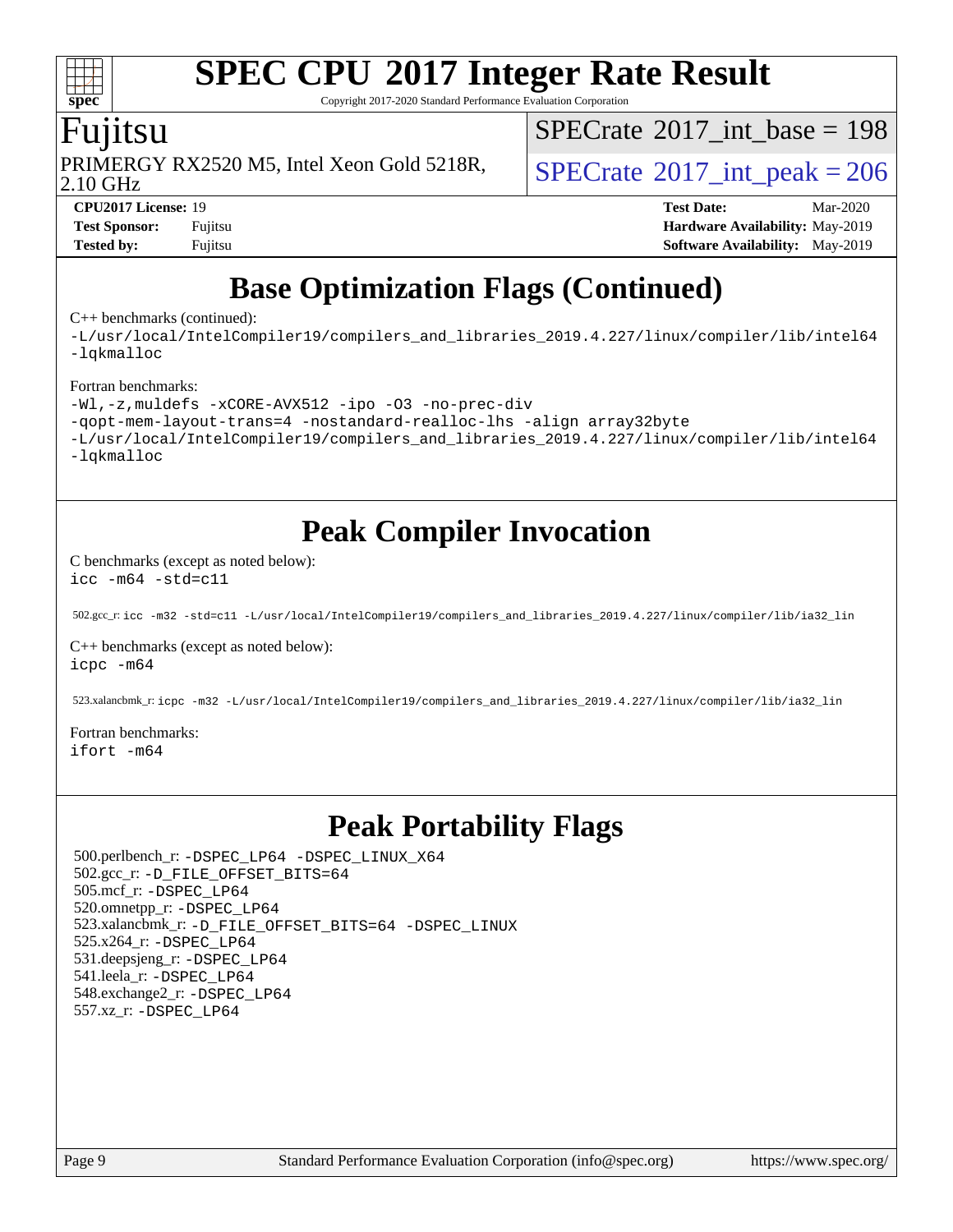Copyright 2017-2020 Standard Performance Evaluation Corporation

### Fujitsu

PRIMERGY RX2520 M5, Intel Xeon Gold 5218R,  $\vert$  [SPECrate](http://www.spec.org/auto/cpu2017/Docs/result-fields.html#SPECrate2017intpeak)  $2017$  int peak = 206

 $SPECTate@2017_int\_base = 198$ 

2.10 GHz

**[spec](http://www.spec.org/)**

**[CPU2017 License:](http://www.spec.org/auto/cpu2017/Docs/result-fields.html#CPU2017License)** 19 **[Test Date:](http://www.spec.org/auto/cpu2017/Docs/result-fields.html#TestDate)** Mar-2020 **[Test Sponsor:](http://www.spec.org/auto/cpu2017/Docs/result-fields.html#TestSponsor)** Fujitsu **[Hardware Availability:](http://www.spec.org/auto/cpu2017/Docs/result-fields.html#HardwareAvailability)** May-2019 **[Tested by:](http://www.spec.org/auto/cpu2017/Docs/result-fields.html#Testedby)** Fujitsu **Fugital [Software Availability:](http://www.spec.org/auto/cpu2017/Docs/result-fields.html#SoftwareAvailability)** May-2019

### **[Base Optimization Flags \(Continued\)](http://www.spec.org/auto/cpu2017/Docs/result-fields.html#BaseOptimizationFlags)**

[C++ benchmarks](http://www.spec.org/auto/cpu2017/Docs/result-fields.html#CXXbenchmarks) (continued):

[-L/usr/local/IntelCompiler19/compilers\\_and\\_libraries\\_2019.4.227/linux/compiler/lib/intel64](http://www.spec.org/cpu2017/results/res2020q2/cpu2017-20200331-21874.flags.html#user_CXXbase_qkmalloc_link_0ffe0cb02c68ef1b443a077c7888c10c67ca0d1dd7138472156f06a085bbad385f78d49618ad55dca9db3b1608e84afc2f69b4003b1d1ca498a9fc1462ccefda) [-lqkmalloc](http://www.spec.org/cpu2017/results/res2020q2/cpu2017-20200331-21874.flags.html#user_CXXbase_qkmalloc_link_lib_79a818439969f771c6bc311cfd333c00fc099dad35c030f5aab9dda831713d2015205805422f83de8875488a2991c0a156aaa600e1f9138f8fc37004abc96dc5)

#### [Fortran benchmarks:](http://www.spec.org/auto/cpu2017/Docs/result-fields.html#Fortranbenchmarks)

```
-Wl,-z,muldefs -xCORE-AVX512 -ipo -O3 -no-prec-div
-qopt-mem-layout-trans=4 -nostandard-realloc-lhs -align array32byte
-L/usr/local/IntelCompiler19/compilers_and_libraries_2019.4.227/linux/compiler/lib/intel64
-lqkmalloc
```
### **[Peak Compiler Invocation](http://www.spec.org/auto/cpu2017/Docs/result-fields.html#PeakCompilerInvocation)**

[C benchmarks \(except as noted below\)](http://www.spec.org/auto/cpu2017/Docs/result-fields.html#Cbenchmarksexceptasnotedbelow): [icc -m64 -std=c11](http://www.spec.org/cpu2017/results/res2020q2/cpu2017-20200331-21874.flags.html#user_CCpeak_intel_icc_64bit_c11_33ee0cdaae7deeeab2a9725423ba97205ce30f63b9926c2519791662299b76a0318f32ddfffdc46587804de3178b4f9328c46fa7c2b0cd779d7a61945c91cd35)

502.gcc\_r: [icc -m32 -std=c11 -L/usr/local/IntelCompiler19/compilers\\_and\\_libraries\\_2019.4.227/linux/compiler/lib/ia32\\_lin](http://www.spec.org/cpu2017/results/res2020q2/cpu2017-20200331-21874.flags.html#user_peakCCLD502_gcc_r_intel_icc_38a193a897536fa645efb1dc6ac2bea2bddbbe56f130e144a606d1b2649003f27c79f8814020c1f9355cbbf0d7ab0d194a7a979ee1e2a95641bbb8cf571aac7b)

[C++ benchmarks \(except as noted below\)](http://www.spec.org/auto/cpu2017/Docs/result-fields.html#CXXbenchmarksexceptasnotedbelow): [icpc -m64](http://www.spec.org/cpu2017/results/res2020q2/cpu2017-20200331-21874.flags.html#user_CXXpeak_intel_icpc_64bit_4ecb2543ae3f1412ef961e0650ca070fec7b7afdcd6ed48761b84423119d1bf6bdf5cad15b44d48e7256388bc77273b966e5eb805aefd121eb22e9299b2ec9d9)

523.xalancbmk\_r: [icpc -m32 -L/usr/local/IntelCompiler19/compilers\\_and\\_libraries\\_2019.4.227/linux/compiler/lib/ia32\\_lin](http://www.spec.org/cpu2017/results/res2020q2/cpu2017-20200331-21874.flags.html#user_peakCXXLD523_xalancbmk_r_intel_icpc_840f965b38320ad10acba6032d6ca4c816e722c432c250f3408feae347068ba449f694544a48cf12cd3bde3495e328e6747ab0f629c2925d3062e2ee144af951)

[Fortran benchmarks](http://www.spec.org/auto/cpu2017/Docs/result-fields.html#Fortranbenchmarks): [ifort -m64](http://www.spec.org/cpu2017/results/res2020q2/cpu2017-20200331-21874.flags.html#user_FCpeak_intel_ifort_64bit_24f2bb282fbaeffd6157abe4f878425411749daecae9a33200eee2bee2fe76f3b89351d69a8130dd5949958ce389cf37ff59a95e7a40d588e8d3a57e0c3fd751)

### **[Peak Portability Flags](http://www.spec.org/auto/cpu2017/Docs/result-fields.html#PeakPortabilityFlags)**

 500.perlbench\_r: [-DSPEC\\_LP64](http://www.spec.org/cpu2017/results/res2020q2/cpu2017-20200331-21874.flags.html#b500.perlbench_r_peakPORTABILITY_DSPEC_LP64) [-DSPEC\\_LINUX\\_X64](http://www.spec.org/cpu2017/results/res2020q2/cpu2017-20200331-21874.flags.html#b500.perlbench_r_peakCPORTABILITY_DSPEC_LINUX_X64) 502.gcc\_r: [-D\\_FILE\\_OFFSET\\_BITS=64](http://www.spec.org/cpu2017/results/res2020q2/cpu2017-20200331-21874.flags.html#user_peakPORTABILITY502_gcc_r_file_offset_bits_64_5ae949a99b284ddf4e95728d47cb0843d81b2eb0e18bdfe74bbf0f61d0b064f4bda2f10ea5eb90e1dcab0e84dbc592acfc5018bc955c18609f94ddb8d550002c) 505.mcf\_r: [-DSPEC\\_LP64](http://www.spec.org/cpu2017/results/res2020q2/cpu2017-20200331-21874.flags.html#suite_peakPORTABILITY505_mcf_r_DSPEC_LP64) 520.omnetpp\_r: [-DSPEC\\_LP64](http://www.spec.org/cpu2017/results/res2020q2/cpu2017-20200331-21874.flags.html#suite_peakPORTABILITY520_omnetpp_r_DSPEC_LP64) 523.xalancbmk\_r: [-D\\_FILE\\_OFFSET\\_BITS=64](http://www.spec.org/cpu2017/results/res2020q2/cpu2017-20200331-21874.flags.html#user_peakPORTABILITY523_xalancbmk_r_file_offset_bits_64_5ae949a99b284ddf4e95728d47cb0843d81b2eb0e18bdfe74bbf0f61d0b064f4bda2f10ea5eb90e1dcab0e84dbc592acfc5018bc955c18609f94ddb8d550002c) [-DSPEC\\_LINUX](http://www.spec.org/cpu2017/results/res2020q2/cpu2017-20200331-21874.flags.html#b523.xalancbmk_r_peakCXXPORTABILITY_DSPEC_LINUX) 525.x264\_r: [-DSPEC\\_LP64](http://www.spec.org/cpu2017/results/res2020q2/cpu2017-20200331-21874.flags.html#suite_peakPORTABILITY525_x264_r_DSPEC_LP64) 531.deepsjeng\_r: [-DSPEC\\_LP64](http://www.spec.org/cpu2017/results/res2020q2/cpu2017-20200331-21874.flags.html#suite_peakPORTABILITY531_deepsjeng_r_DSPEC_LP64) 541.leela\_r: [-DSPEC\\_LP64](http://www.spec.org/cpu2017/results/res2020q2/cpu2017-20200331-21874.flags.html#suite_peakPORTABILITY541_leela_r_DSPEC_LP64) 548.exchange2\_r: [-DSPEC\\_LP64](http://www.spec.org/cpu2017/results/res2020q2/cpu2017-20200331-21874.flags.html#suite_peakPORTABILITY548_exchange2_r_DSPEC_LP64) 557.xz\_r: [-DSPEC\\_LP64](http://www.spec.org/cpu2017/results/res2020q2/cpu2017-20200331-21874.flags.html#suite_peakPORTABILITY557_xz_r_DSPEC_LP64)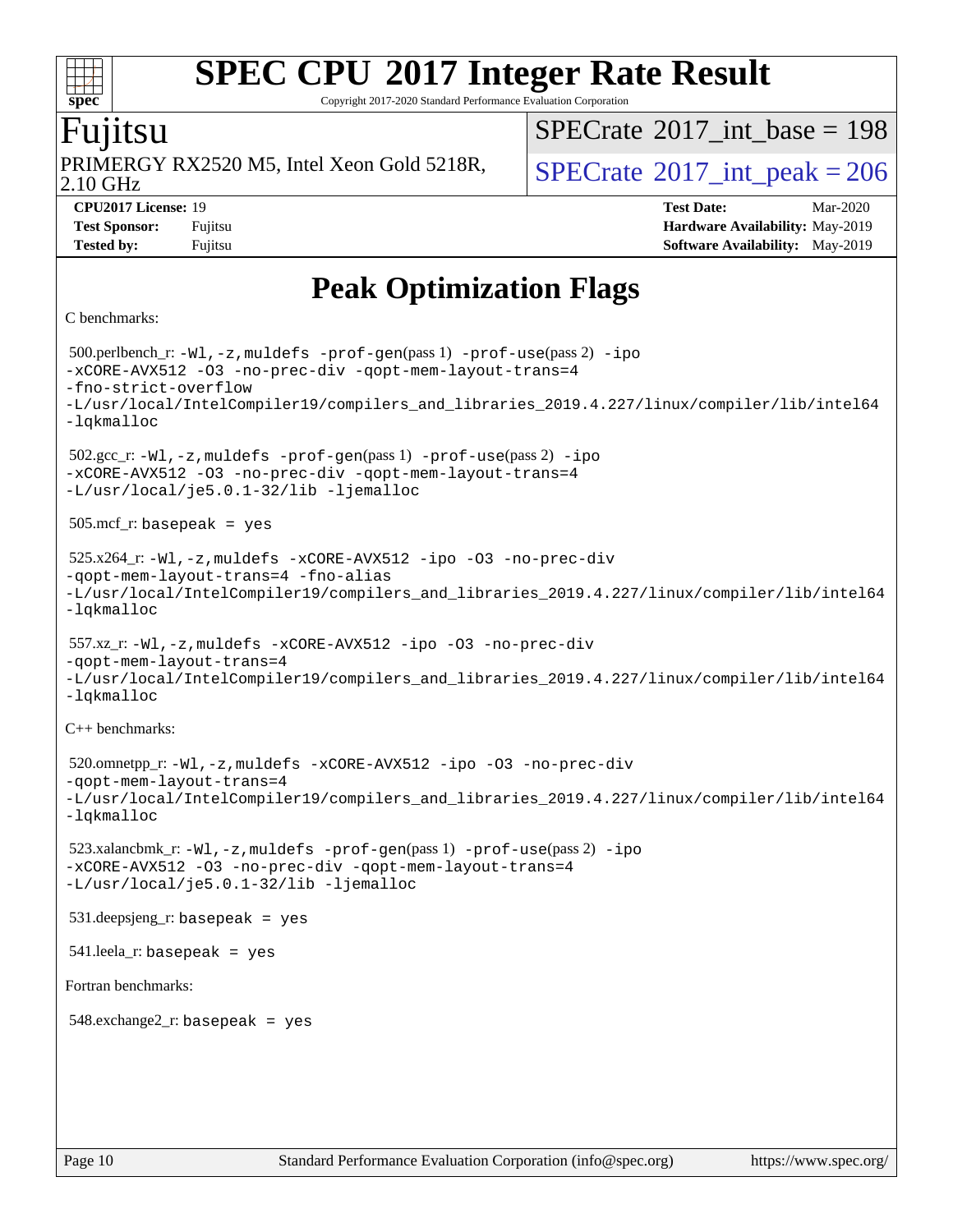Copyright 2017-2020 Standard Performance Evaluation Corporation

### Fujitsu

**[spec](http://www.spec.org/)**

2.10 GHz PRIMERGY RX2520 M5, Intel Xeon Gold 5218R,  $\vert$  [SPECrate](http://www.spec.org/auto/cpu2017/Docs/result-fields.html#SPECrate2017intpeak)  $2017$  int peak = 206

 $SPECTate$ <sup>®</sup>[2017\\_int\\_base =](http://www.spec.org/auto/cpu2017/Docs/result-fields.html#SPECrate2017intbase) 198

**[Tested by:](http://www.spec.org/auto/cpu2017/Docs/result-fields.html#Testedby)** Fujitsu **Fujitsu [Software Availability:](http://www.spec.org/auto/cpu2017/Docs/result-fields.html#SoftwareAvailability)** May-2019

**[CPU2017 License:](http://www.spec.org/auto/cpu2017/Docs/result-fields.html#CPU2017License)** 19 **[Test Date:](http://www.spec.org/auto/cpu2017/Docs/result-fields.html#TestDate)** Mar-2020 **[Test Sponsor:](http://www.spec.org/auto/cpu2017/Docs/result-fields.html#TestSponsor)** Fujitsu **[Hardware Availability:](http://www.spec.org/auto/cpu2017/Docs/result-fields.html#HardwareAvailability)** May-2019

### **[Peak Optimization Flags](http://www.spec.org/auto/cpu2017/Docs/result-fields.html#PeakOptimizationFlags)**

#### [C benchmarks](http://www.spec.org/auto/cpu2017/Docs/result-fields.html#Cbenchmarks):

```
 500.perlbench_r: -Wl,-z,muldefs -prof-gen(pass 1) -prof-use(pass 2) -ipo
-xCORE-AVX512 -O3 -no-prec-div -qopt-mem-layout-trans=4
-fno-strict-overflow
-L/usr/local/IntelCompiler19/compilers_and_libraries_2019.4.227/linux/compiler/lib/intel64
-lqkmalloc
 502.gcc_r: -Wl,-z,muldefs -prof-gen(pass 1) -prof-use(pass 2) -ipo
-xCORE-AVX512 -O3 -no-prec-div -qopt-mem-layout-trans=4
-L/usr/local/je5.0.1-32/lib -ljemalloc
 505.mcf_r: basepeak = yes
 525.x264_r: -Wl,-z,muldefs -xCORE-AVX512 -ipo -O3 -no-prec-div
-qopt-mem-layout-trans=4 -fno-alias
-L/usr/local/IntelCompiler19/compilers_and_libraries_2019.4.227/linux/compiler/lib/intel64
-lqkmalloc
 557.xz_r: -Wl,-z,muldefs -xCORE-AVX512 -ipo -O3 -no-prec-div
-qopt-mem-layout-trans=4
-L/usr/local/IntelCompiler19/compilers_and_libraries_2019.4.227/linux/compiler/lib/intel64
-lqkmalloc
C++ benchmarks: 
 520.omnetpp_r: -Wl,-z,muldefs -xCORE-AVX512 -ipo -O3 -no-prec-div
-qopt-mem-layout-trans=4
-L/usr/local/IntelCompiler19/compilers_and_libraries_2019.4.227/linux/compiler/lib/intel64
-lqkmalloc
 523.xalancbmk_r: -Wl,-z,muldefs -prof-gen(pass 1) -prof-use(pass 2) -ipo
-xCORE-AVX512 -O3 -no-prec-div -qopt-mem-layout-trans=4
-L/usr/local/je5.0.1-32/lib -ljemalloc
 531.deepsjeng_r: basepeak = yes
541. leela r: basepeak = yes
Fortran benchmarks: 
548.exchange2_r: basepeak = yes
```
Page 10 Standard Performance Evaluation Corporation [\(info@spec.org\)](mailto:info@spec.org) <https://www.spec.org/>